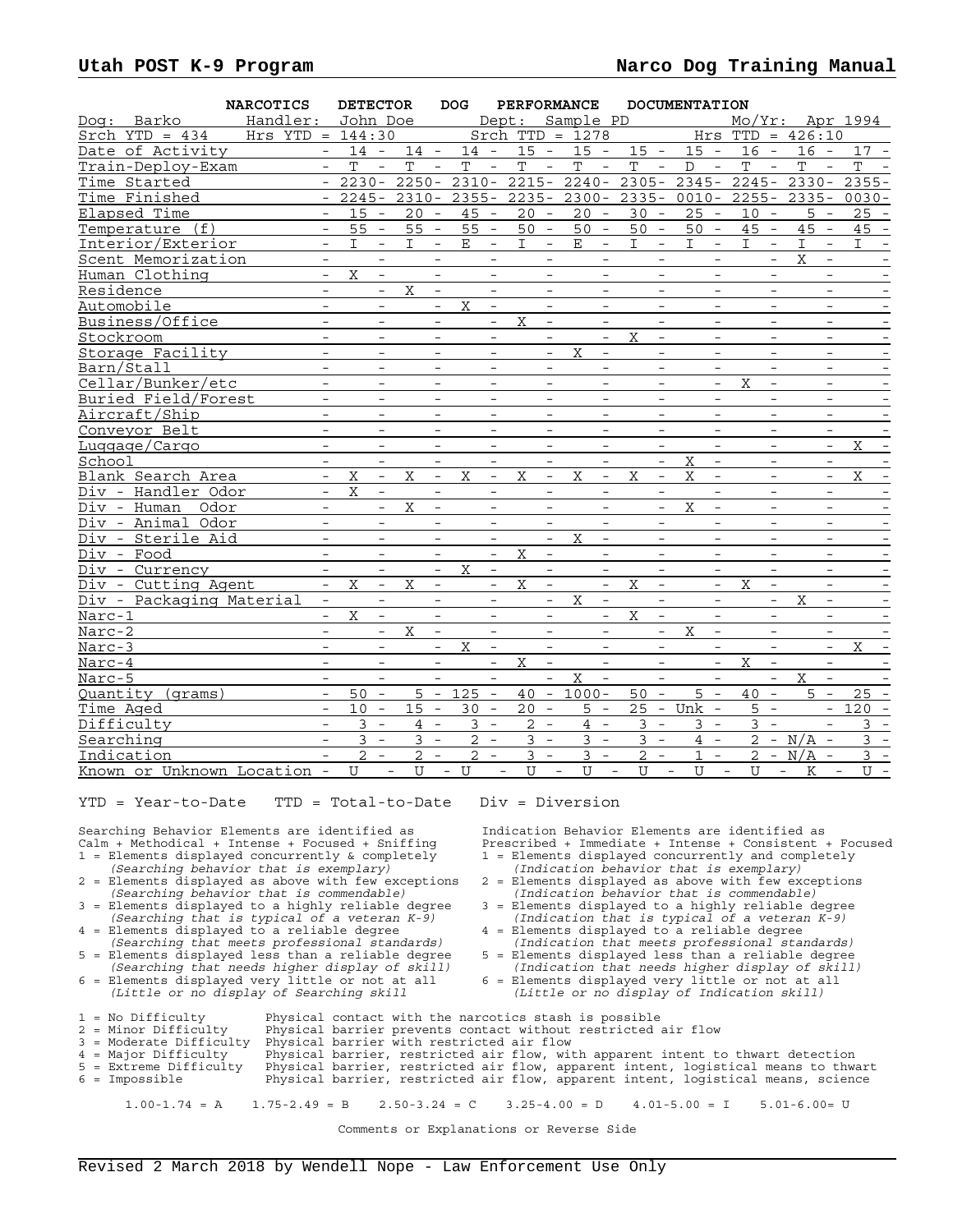|           |                             | <b>NARCOTICS</b>     |                          | <b>DETECTOR</b> |                          |                       |                          | DOG         |                          |                |                                 | PERFORMANCE                                       |                                         |                          | <b>DOCUMENTATION</b>                              |                               |                                            |                                                               |
|-----------|-----------------------------|----------------------|--------------------------|-----------------|--------------------------|-----------------------|--------------------------|-------------|--------------------------|----------------|---------------------------------|---------------------------------------------------|-----------------------------------------|--------------------------|---------------------------------------------------|-------------------------------|--------------------------------------------|---------------------------------------------------------------|
|           | Dog: Barko                  | Handler: John Doe    |                          |                 |                          |                       |                          |             |                          |                |                                 | Dept: Sample PD                                   |                                         |                          |                                                   |                               |                                            | $Mo/Yr:$ Apr 1994                                             |
|           | $Stch$ YTD = 434            | $Hrs$ YTD = $144:30$ |                          |                 |                          |                       |                          |             |                          |                |                                 | $Stch$ TTD = 1278                                 |                                         |                          |                                                   | $Hrs$ TTD = $426:10$          |                                            |                                                               |
|           | Date of Activity            |                      |                          |                 |                          | $-14 - 14 - 14 -$     |                          |             |                          | $15 -$         |                                 | $15 -$                                            | $15 -$                                  |                          |                                                   | $15 - 16 -$                   | $16 -$                                     | $17 -$                                                        |
|           | Train-Deploy-Exam           |                      | $\equiv$                 | T               | $\mathcal{L}$            | T                     | $\equiv$                 | $\mathbf T$ | $\equiv$                 | T              | $\sim$                          | $\equiv$<br>T                                     | $\mathbf T$                             | $\sim$                   | $\overline{\phantom{0}}$<br>$\mathbb{D}$          | T<br>$\mathcal{L}$            | $\mathbf T$<br>$\overline{\phantom{a}}$    | $\mathbf T$                                                   |
|           | Time Started                |                      | $\sim$                   |                 |                          | $2230 - 2250 -$       |                          | $2310 -$    |                          | $2215 -$       |                                 | $2240 - 2305 -$                                   |                                         |                          |                                                   | $2345 - 2245 - 2330 -$        |                                            | $2355 -$                                                      |
|           | Time Finished               |                      |                          |                 |                          |                       |                          |             |                          |                |                                 |                                                   |                                         |                          |                                                   |                               |                                            | - 2245- 2310- 2355- 2235- 2300- 2335- 0010- 2255- 2335- 0030- |
|           | Elapsed Time                |                      |                          | $15 -$          |                          | $20 -$                |                          | $45 -$      |                          | $20 -$         |                                 | $20 -$                                            | $30 -$                                  |                          | $25 -$                                            | $10 -$                        | $5 -$                                      | $25 -$                                                        |
|           | Temperature (f)             |                      | $ \,$                    | $55 -$          |                          | $55 -$                |                          | $55 -$      |                          | 50             | $\sim$                          | $50 -$                                            | $50 -$                                  |                          | $50 -$                                            | $45 -$                        | $45 -$                                     | $45 -$                                                        |
|           | Interior/Exterior           |                      | $\overline{\phantom{a}}$ | I.              | $\equiv$                 | $\mathbf{I}$          | $\equiv$                 | E           | $\overline{\phantom{a}}$ | $\mathbf{I}$   | $\overline{\phantom{a}}$        | $\mathbf{E}$<br>$\equiv$                          | $\mathbf{I}$                            | $\equiv$                 | $\mathbf{I}$<br>$\equiv$                          | I.<br>$\equiv$                | $\mathbf I$<br>$\overline{\phantom{a}}$    | $\mathbf{I}$                                                  |
|           | Scent Memorization          |                      |                          |                 | $\overline{\phantom{a}}$ |                       | $\overline{\phantom{a}}$ |             | $\overline{\phantom{a}}$ |                |                                 | $\overline{\phantom{a}}$                          |                                         | $\overline{\phantom{a}}$ |                                                   |                               | $\mathbf X$                                |                                                               |
|           | Human Clothing              |                      | $\equiv$                 | $\mathbf X$     | $\equiv$                 |                       | $\equiv$                 |             | $-$                      |                | $\equiv$                        | $\overline{\phantom{a}}$                          |                                         | $\overline{a}$           | $\equiv$                                          | $\equiv$                      | $\equiv$                                   |                                                               |
|           | Residence                   |                      | $\overline{\phantom{a}}$ |                 | $\equiv$                 | X                     | $\overline{\phantom{a}}$ |             | $\qquad \qquad -$        |                | $\overline{\phantom{a}}$        | $\overline{\phantom{a}}$                          |                                         | $\overline{\phantom{a}}$ | $\overline{\phantom{a}}$                          | $\overline{\phantom{a}}$      | $-$                                        | $\overline{\phantom{a}}$                                      |
|           | Automobile                  |                      |                          |                 | $\qquad \qquad -$        |                       | $\overline{\phantom{a}}$ | X           | $\overline{\phantom{a}}$ |                | $\overline{\phantom{a}}$        | $\overline{\phantom{a}}$                          |                                         | $\overline{\phantom{a}}$ | $\overline{\phantom{a}}$                          | $\qquad \qquad -$             | $-$                                        |                                                               |
|           | Business/Office             |                      | $\equiv$                 |                 | $\overline{\phantom{a}}$ |                       | $\overline{a}$           |             | $\overline{\phantom{a}}$ | X              | $\overline{\phantom{0}}$        | $\overline{\phantom{a}}$                          |                                         | $\overline{a}$           | $\overline{\phantom{a}}$                          | $\overline{\phantom{a}}$      | $\overline{\phantom{a}}$                   |                                                               |
|           | Stockroom                   |                      | $-$                      |                 | $\overline{\phantom{a}}$ |                       | $\overline{\phantom{0}}$ |             | $-$                      |                | $\overline{\phantom{a}}$        | $\overline{\phantom{a}}$                          | X                                       | $\overline{\phantom{a}}$ | $-$                                               | $\overline{\phantom{a}}$      | $\overline{\phantom{a}}$                   | $\overline{\phantom{a}}$                                      |
|           | Storage Facility            |                      | $-$                      |                 | $\overline{\phantom{a}}$ |                       | $\overline{\phantom{a}}$ |             | $\overline{\phantom{a}}$ |                | $\overline{\phantom{a}}$        | $\overline{X}$<br>$\overline{\phantom{a}}$        |                                         | $\overline{\phantom{a}}$ | $\overline{\phantom{a}}$                          | $\qquad \qquad -$             | $\overline{\phantom{a}}$                   |                                                               |
|           | Barn/Stall                  |                      |                          |                 |                          |                       |                          |             |                          |                |                                 |                                                   |                                         |                          |                                                   | $\overline{\phantom{0}}$      |                                            |                                                               |
|           | Cellar/Bunker/etc           |                      | $\equiv$                 |                 | $\overline{\phantom{0}}$ |                       | $\equiv$                 |             | $\equiv$                 |                | $\equiv$                        | $-$                                               |                                         | $\equiv$                 | $\equiv$                                          | X<br>$ \,$                    | $\equiv$                                   | $\qquad \qquad -$                                             |
|           | Buried Field/Forest         |                      | $\overline{\phantom{a}}$ |                 | $\overline{\phantom{a}}$ |                       | $\overline{\phantom{a}}$ |             | $\overline{\phantom{a}}$ |                | $\overline{\phantom{a}}$        | $\overline{\phantom{a}}$                          |                                         | $\overline{\phantom{a}}$ | $\overline{\phantom{a}}$                          | $\overline{\phantom{a}}$      | $\overline{\phantom{a}}$                   |                                                               |
|           | Aircraft/Ship               |                      | $-$                      |                 | $\equiv$                 |                       | $\overline{\phantom{a}}$ |             | $\overline{\phantom{a}}$ |                | $\overline{\phantom{a}}$        | $\overline{\phantom{a}}$                          |                                         | $\overline{\phantom{a}}$ | $\overline{\phantom{a}}$                          | $\equiv$                      | $\overline{\phantom{a}}$                   |                                                               |
|           | Conveyor Belt               |                      | $\equiv$                 |                 | $\equiv$                 |                       | $\overline{a}$           |             | $\frac{1}{2}$            |                | $\frac{1}{2}$                   | $\frac{1}{2}$                                     |                                         | $\overline{a}$           | $\equiv$                                          | $\frac{1}{2}$                 | $\equiv$                                   |                                                               |
|           | Luggage/Cargo               |                      | $-$                      |                 | $\overline{\phantom{0}}$ |                       | $\overline{\phantom{a}}$ |             | $\equiv$                 |                | $-$                             | $\overline{\phantom{a}}$                          |                                         | $\overline{\phantom{a}}$ | $\equiv$                                          | $-$                           | $\equiv$                                   | X<br>$\overline{\phantom{a}}$                                 |
| School    |                             |                      | $-$                      |                 | $-$                      |                       | $\overline{\phantom{a}}$ |             | $\overline{\phantom{a}}$ |                | $-$                             | $\overline{\phantom{a}}$                          |                                         | $\overline{\phantom{a}}$ | X<br>$\overline{\phantom{a}}$                     | $-$                           | $\overline{\phantom{a}}$                   |                                                               |
|           | Blank Search Area           |                      | $\equiv$                 | X               | $\equiv$                 | X                     | $\equiv$                 | X           | $\equiv$                 | X              | $\equiv$                        | X<br>$\equiv$                                     | X                                       | $\equiv$                 | X<br>$\overline{\phantom{a}}$                     |                               | $\equiv$                                   | X                                                             |
|           | Div - Handler Odor          |                      | $ \,$                    | X               | $ \,$                    |                       | $-$                      |             | $-$                      |                | $\overline{\phantom{a}}$        | $\overline{\phantom{a}}$                          |                                         | $\overline{\phantom{a}}$ | $\overline{\phantom{a}}$                          | $-$                           | $-$                                        |                                                               |
|           | Div - Human Odor            |                      |                          |                 | $\overline{\phantom{a}}$ | $\mathbf X$           | $\qquad \qquad -$        |             | $\overline{\phantom{a}}$ |                | $\overline{\phantom{a}}$        | $\qquad \qquad -$                                 |                                         | $\overline{\phantom{0}}$ | $\mathbf X$<br>$\overline{\phantom{a}}$           | $\overline{\phantom{a}}$      | $\overline{\phantom{0}}$                   |                                                               |
|           | Div - Animal Odor           |                      |                          |                 |                          |                       | $\overline{\phantom{a}}$ |             | $\overline{\phantom{a}}$ |                | $\overline{\phantom{a}}$        | $\equiv$                                          |                                         |                          |                                                   | $\overline{\phantom{a}}$      |                                            |                                                               |
|           | Div - Sterile Aid           |                      | $\overline{a}$           |                 | $\frac{1}{2}$            |                       | $\overline{a}$           |             | $\equiv$                 |                | $\equiv$                        | $\mathbf{X}$<br>$\equiv$                          |                                         | $\overline{a}$           | $\equiv$                                          | $\frac{1}{2}$                 | $\overline{a}$                             |                                                               |
|           | Div - Food                  |                      | $\qquad \qquad -$        |                 | $\overline{\phantom{a}}$ |                       | $\overline{\phantom{a}}$ |             | $\overline{\phantom{a}}$ | Χ              | $\overline{\phantom{a}}$        | $\overline{\phantom{a}}$                          |                                         | $\overline{\phantom{a}}$ | $\overline{\phantom{a}}$                          | $\overline{\phantom{a}}$      | $\overline{\phantom{a}}$                   |                                                               |
|           | Div - Currency              |                      | $\equiv$                 |                 | $\frac{1}{2}$            |                       | $\overline{\phantom{a}}$ | X           | $\overline{\phantom{a}}$ |                | $\overline{\phantom{a}}$        | $\overline{\phantom{a}}$                          |                                         | $\overline{\phantom{a}}$ | $\overline{\phantom{a}}$                          | $\overline{\phantom{a}}$      | $\overline{\phantom{a}}$                   | $\overline{\phantom{a}}$                                      |
|           | Div - Cutting Agent         |                      | $\equiv$                 | $\mathbf X$     | $\frac{1}{2}$            | X                     | $\overline{a}$           |             | $\equiv$                 | $\mathbf X$    | $\equiv$                        | $\frac{1}{2}$                                     | $\mathbf X$                             | $\overline{a}$           | $\equiv$                                          | X<br>$\equiv$                 | $\equiv$                                   |                                                               |
|           | Div - Packaging Material    |                      | $\overline{\phantom{a}}$ |                 | $-$                      |                       | $-$                      |             | $\equiv$                 |                | $\overline{\phantom{a}}$        | X<br>$\overline{\phantom{a}}$                     |                                         | $\overline{\phantom{0}}$ | $\overline{\phantom{a}}$                          | $-$                           | X<br>$\overline{\phantom{0}}$              |                                                               |
| Narc-1    |                             |                      | $\overline{\phantom{0}}$ | X               | $\overline{\phantom{a}}$ |                       | $\overline{\phantom{a}}$ |             | $\overline{\phantom{a}}$ |                | $-$                             | $\overline{\phantom{a}}$                          | $\rm X$                                 | $\overline{\phantom{a}}$ | $\overline{\phantom{a}}$                          | $-$                           | $\overline{\phantom{a}}$                   |                                                               |
| Narc-2    |                             |                      |                          |                 |                          | $\overline{\text{X}}$ | $\overline{\phantom{a}}$ |             | $\overline{\phantom{a}}$ |                |                                 |                                                   |                                         |                          | $\overline{\text{X}}$<br>$\overline{\phantom{a}}$ |                               |                                            |                                                               |
| $Narc-3$  |                             |                      | $-$                      |                 | $-$                      |                       | $\equiv$                 | X           | $\overline{\phantom{a}}$ |                | $\overline{\phantom{a}}$        | $\overline{\phantom{a}}$                          |                                         | $-$                      | $\equiv$                                          | $ \,$                         | $ \,$                                      | X                                                             |
| $Narc-4$  |                             |                      |                          |                 | $\overline{\phantom{a}}$ |                       | $\overline{\phantom{0}}$ |             | $\overline{\phantom{a}}$ | X              | $\overline{\phantom{a}}$        | $\overline{\phantom{a}}$                          |                                         | $\overline{\phantom{0}}$ | $\overline{\phantom{a}}$                          | X<br>$\overline{\phantom{a}}$ | $\overline{\phantom{a}}$                   |                                                               |
| Narc-5    |                             |                      | $\equiv$                 |                 | $\overline{\phantom{a}}$ |                       |                          |             | $\overline{\phantom{a}}$ |                |                                 | $\overline{\text{X}}$<br>$\overline{\phantom{a}}$ |                                         | $\overline{\phantom{a}}$ | $\overline{\phantom{a}}$                          |                               | $\overline{X}$<br>$\overline{\phantom{a}}$ |                                                               |
|           | Quantity (grams)            |                      |                          | $50 -$          |                          |                       |                          | $5 - 125 -$ |                          |                |                                 | $\overline{40}$ - 1000-                           | $50 -$                                  |                          | $5 -$                                             | $40 -$                        | $5 -$                                      | $25 -$                                                        |
| Time Aged |                             |                      |                          | $10 -$          |                          | 15                    | $\equiv$                 | $30 -$      |                          | 20             | $\hspace{0.1mm}-\hspace{0.1mm}$ | $5 -$                                             |                                         |                          | 25 - Unk -                                        | $5 -$                         | $\equiv$                                   | $120 -$                                                       |
|           | Difficulty                  |                      |                          |                 | $3 -$                    | $4 -$                 |                          | $3 -$       |                          | 2              | $\sim$                          | $4 -$                                             |                                         | $3 -$                    | $3 -$                                             | $3 -$                         | $\overline{\phantom{a}}$                   | $3 -$                                                         |
|           | Searching                   |                      |                          | 3               | $\sim$                   | $\mathbf{3}$          | $\equiv$                 | $2 -$       |                          | 3              | $\sim$                          | $3 -$                                             |                                         | $3 -$                    | $4 -$                                             |                               | $2 - N/A -$                                | $3 -$                                                         |
|           | Indication                  |                      | $-$                      |                 | $2 -$                    | $2 -$                 |                          | $2 -$       |                          | $\overline{3}$ | $\sim$                          | $3 -$                                             |                                         | $2 -$                    | $1 -$                                             |                               | $2 - N/A -$                                | $3 -$                                                         |
|           | Known or Unknown Location - |                      |                          | U               | $\equiv$                 | U                     |                          | - U         | $\overline{\phantom{0}}$ | $\mathbf{U}$   | $\sim$ $-$                      | $\mathbf{U}$                                      | $\mathbf U$<br>$\overline{\phantom{a}}$ | $\equiv$                 | ${\bf U}$                                         | U<br>$\equiv$                 | K<br>$\equiv$<br>$\sim$ $-$                | $U -$                                                         |

YTD = Year-to-Date TTD = Total-to-Date Div = Diversion

Searching Behavior Elements are identified as Indication Behavior Elements are identified as<br>Calm + Methodical + Intense + Focused + Sniffing Prescribed + Immediate + Intense + Consistent

- Elements displayed concurrently & completely  $1 =$  Elements displayed concurrently and completely (Searching behavior that is exemplary) (Indication behavior that is exemplary) *(Searching behavior that is exemplary) (Indication behavior that is exemplary)*
- 
- 3 = Elements displayed to a highly reliable degree 3 = Elements displayed to a highly reliable degree *(Searching that is typical of a veteran K-9) (Indication that is typical of a veteran K-9)*
- 
- Elements displayed less than a reliable degree 5 = Elements displayed less than a reliable degree<br>(Searching that needs higher display of skill) (Indication that needs higher display of skill)
- $6 =$  Elements displayed very little or not at all (Little or no display of Searching skill
- Calm + Methodical + Intense + Focused + Sniffing Prescribed + Immediate + Intense + Consistent + Focused
	- $2$  = Elements displayed as above with few exceptions
- *(Searching behavior that is commendable) (Indication behavior that is commendable)*
- (Searching that is typical of a veteran K-9) (Indication that is typical of a vetera<br>4 = Elements displayed to a reliable degree<br>(Searching that meets professional standards) (Indication that meets professional sta
- *(Searching that meets professional standards) (Indication that meets professional standards)*
	- *(Indication that needs higher display of skill)*  $6 =$  Elements displayed very little or not at all
	- *(Little or no display of Searching skill (Little or no display of Indication skill)*

| 1 = No Difficulty       | Physical contact with the narcotics stash is possible                                          |
|-------------------------|------------------------------------------------------------------------------------------------|
| 2 = Minor Difficulty    | Physical barrier prevents contact without restricted air flow                                  |
| 3 = Moderate Difficulty | Physical barrier with restricted air flow                                                      |
| 4 = Major Difficulty    | Physical barrier, restricted air flow, with apparent intent to thwart detection                |
| 5 = Extreme Difficulty  | Physical barrier, restricted air flow, apparent intent, logistical means to thwart             |
| 6 = Impossible          | Physical barrier, restricted air flow, apparent intent, logistical means, science              |
|                         |                                                                                                |
|                         | $1.00-1.74 = A$ $1.75-2.49 = B$ $2.50-3.24 = C$ $3.25-4.00 = D$ $4.01-5.00 = I$ $5.01-6.00= U$ |
|                         |                                                                                                |

Comments or Explanations or Reverse Side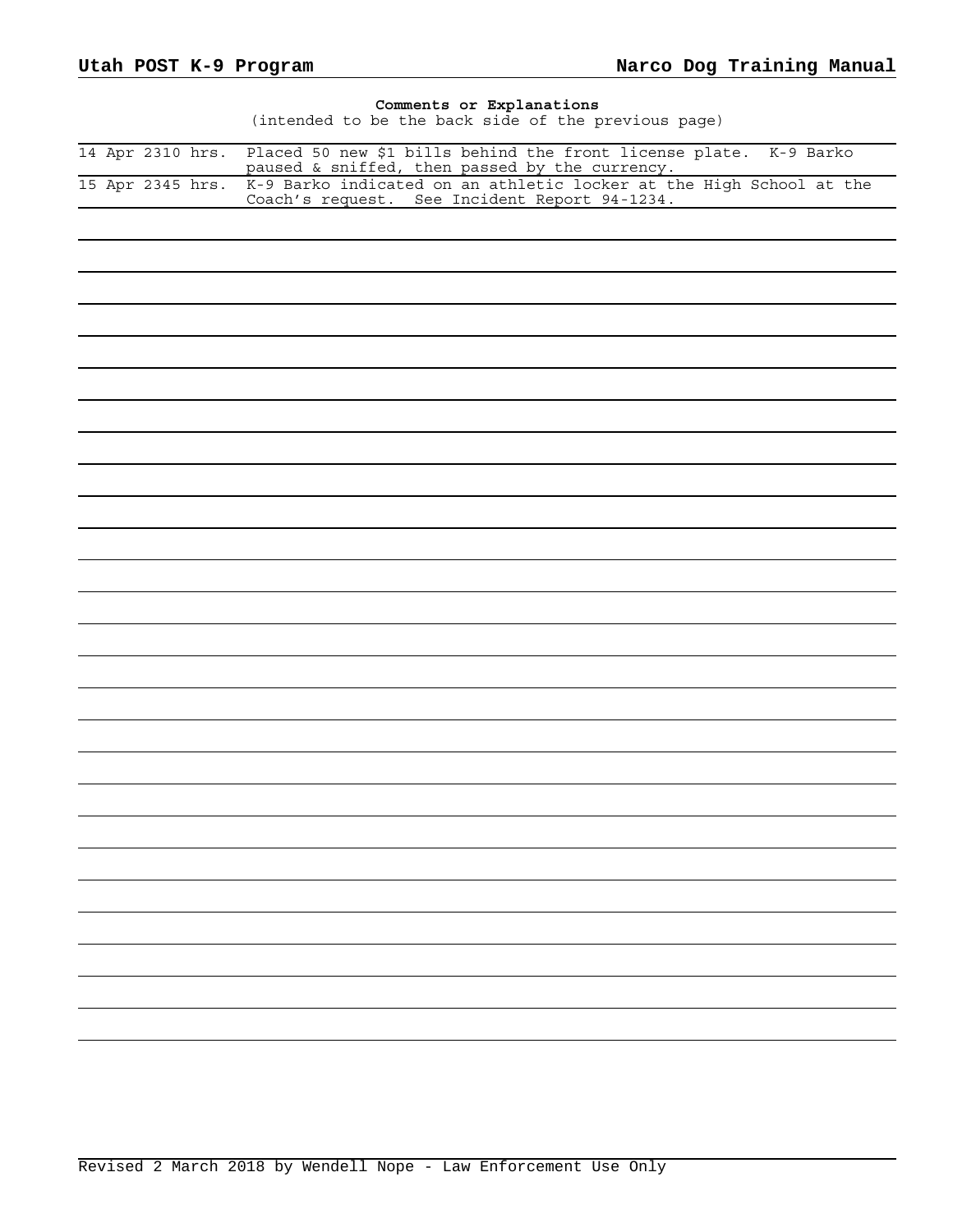| Comments or Explanations<br>(intended to be the back side of the previous page)                                                                                                               |
|-----------------------------------------------------------------------------------------------------------------------------------------------------------------------------------------------|
| Placed 50 new \$1 bills behind the front license plate. K-9 Barko<br>14 Apr 2310 hrs.                                                                                                         |
| paused $\&$ sniffed, then passed by the currency.<br>K-9 Barko indicated on an athletic locker at the High School at the<br>15 Apr 2345 hrs.<br>Coach's request. See Incident Report 94-1234. |
|                                                                                                                                                                                               |
|                                                                                                                                                                                               |
|                                                                                                                                                                                               |
|                                                                                                                                                                                               |
|                                                                                                                                                                                               |
|                                                                                                                                                                                               |
|                                                                                                                                                                                               |
|                                                                                                                                                                                               |
|                                                                                                                                                                                               |
|                                                                                                                                                                                               |
|                                                                                                                                                                                               |
|                                                                                                                                                                                               |
|                                                                                                                                                                                               |
|                                                                                                                                                                                               |
|                                                                                                                                                                                               |
|                                                                                                                                                                                               |
|                                                                                                                                                                                               |
|                                                                                                                                                                                               |
|                                                                                                                                                                                               |
|                                                                                                                                                                                               |
|                                                                                                                                                                                               |
|                                                                                                                                                                                               |
|                                                                                                                                                                                               |
|                                                                                                                                                                                               |
|                                                                                                                                                                                               |
|                                                                                                                                                                                               |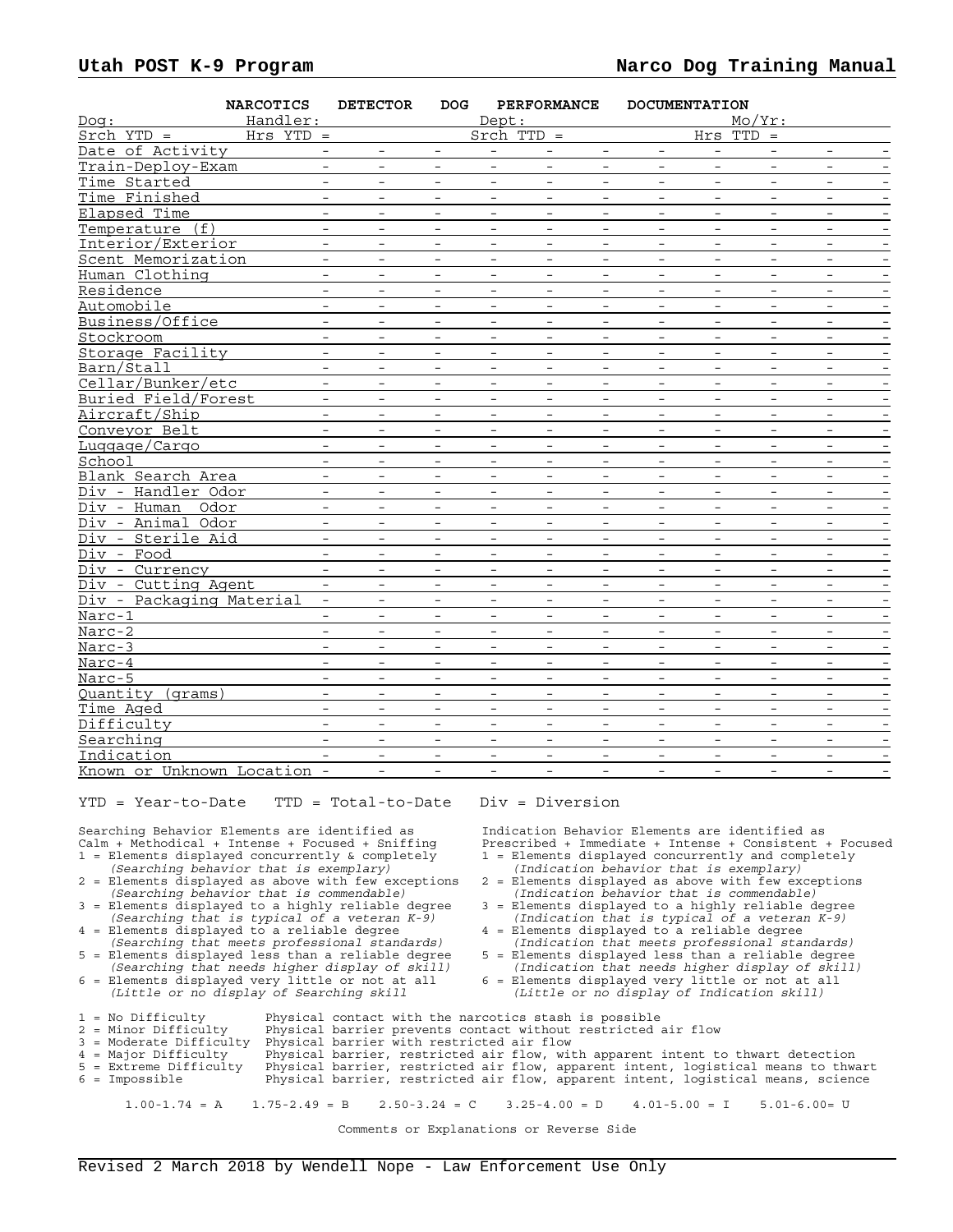| Handler:<br>$Mo/Yr$ :<br>Dept:<br>Dog :<br>$Srch$ YTD =<br>$Hrs$ YTD =<br>$Stch$ TTD =<br>Hrs TTD<br>$\, =$<br>Date of Activity<br>Train-Deploy-Exam<br>$\sim$<br>$\overline{\phantom{a}}$<br>$-$<br>$\overline{\phantom{a}}$<br>$-$<br>$\overline{\phantom{a}}$<br>$\overline{\phantom{0}}$<br>$ \,$<br>$\overline{\phantom{a}}$<br>$-$<br>Time Started<br>$\overline{\phantom{a}}$<br>$\overline{\phantom{a}}$<br>$\overline{\phantom{a}}$<br>$\qquad \qquad -$<br>$\overline{\phantom{a}}$<br>$\overline{\phantom{a}}$<br>$\overline{\phantom{m}}$<br>$\overline{\phantom{a}}$<br>$\overline{\phantom{a}}$<br>Time Finished<br>$\overline{\phantom{a}}$<br>$\overline{\phantom{0}}$<br>$\overline{\phantom{a}}$<br>$\overline{\phantom{a}}$<br>$\overline{\phantom{a}}$<br>$\overline{\phantom{a}}$<br>$\overline{\phantom{0}}$<br>$\overline{\phantom{a}}$<br>$\overline{\phantom{a}}$<br>$\overline{\phantom{0}}$<br>Elapsed Time<br>$\equiv$<br>$\overline{a}$<br>$\equiv$<br>$\equiv$<br>$\equiv$<br>$\equiv$<br>$\equiv$<br>$\equiv$<br>$\equiv$<br>$\sim$<br>Temperature (f)<br>$\overline{\phantom{a}}$<br>$-$<br>$\overline{\phantom{a}}$<br>$\overline{\phantom{a}}$<br>$\overline{\phantom{a}}$<br>$\overline{\phantom{a}}$<br>$\overline{\phantom{a}}$<br>$\overline{\phantom{a}}$<br>$\overline{\phantom{m}}$<br>$\qquad \qquad -$<br>Interior/Exterior<br>$\overline{\phantom{a}}$<br>$\qquad \qquad -$<br>$\overline{\phantom{a}}$<br>$\overline{\phantom{a}}$<br>$\qquad \qquad -$<br>$\overline{\phantom{a}}$<br>$\overline{\phantom{a}}$<br>$\overline{\phantom{a}}$<br>$-$<br>$\overline{\phantom{a}}$<br>Scent Memorization<br>$\overline{\phantom{a}}$<br>$\overline{\phantom{a}}$<br>$\frac{1}{2}$<br>$\overline{a}$<br>$\overline{\phantom{a}}$<br>$\overline{\phantom{a}}$<br>$\overline{\phantom{a}}$<br>$\overline{\phantom{0}}$<br>$\overline{\phantom{a}}$<br>Human Clothing<br>$\overline{\phantom{a}}$<br>$\overline{\phantom{a}}$<br>$\overline{\phantom{a}}$<br>$-$<br>$\qquad \qquad -$<br>$-$<br>$\overline{\phantom{a}}$<br>$\overline{\phantom{a}}$<br>$\qquad \qquad -$<br>$\qquad \qquad -$<br>Residence<br>$\overline{\phantom{a}}$<br>$\overline{\phantom{0}}$<br>$\overline{\phantom{a}}$<br>$\overline{\phantom{a}}$<br>$\overline{\phantom{a}}$<br>$\overline{\phantom{a}}$<br>$\overline{\phantom{a}}$<br>$\overline{\phantom{a}}$<br>$\overline{\phantom{a}}$<br>$\overline{\phantom{a}}$<br>Automobile<br>$\equiv$<br>$\overline{\phantom{a}}$<br>$\overline{\phantom{a}}$<br>Business/Office<br>$\equiv$<br>$\equiv$<br>$-$<br>$\equiv$<br>$\overline{\phantom{a}}$<br>$ \,$<br>$\overline{\phantom{a}}$<br>$\equiv$<br>$\equiv$<br>$-$<br>Stockroom<br>$\overline{\phantom{m}}$<br>$\overline{\phantom{a}}$<br>$\overline{\phantom{a}}$<br>$\overline{\phantom{a}}$<br>$\overline{\phantom{a}}$<br>$\overline{\phantom{a}}$<br>$\overline{\phantom{m}}$<br>$\overline{\phantom{a}}$<br>$\overline{\phantom{m}}$<br>$\qquad \qquad -$<br>Storage Facility<br>$\overline{\phantom{a}}$<br>$\overline{\phantom{a}}$<br>$\overline{\phantom{a}}$<br>$\overline{\phantom{a}}$<br>$\overline{\phantom{a}}$<br>$\overline{\phantom{a}}$<br>$\overline{\phantom{a}}$<br>$\overline{\phantom{a}}$<br>$\overline{\phantom{a}}$<br>$\overline{\phantom{a}}$<br>$\equiv$<br>Barn/Stall<br>$\equiv$<br>$\equiv$<br>$\equiv$<br>$\equiv$<br>$\equiv$<br>$\equiv$<br>$\equiv$<br>$\overline{a}$<br>$\equiv$<br>Cellar/Bunker/etc<br>$\overline{\phantom{a}}$<br>$\overline{\phantom{a}}$<br>$\overline{\phantom{a}}$<br>$\qquad \qquad -$<br>$\overline{\phantom{a}}$<br>$\overline{\phantom{a}}$<br>$\overline{\phantom{a}}$<br>$\overline{\phantom{a}}$<br>$\overline{\phantom{a}}$<br>$\overline{\phantom{a}}$<br>Buried Field/Forest<br>$\overline{\phantom{a}}$<br>$\overline{\phantom{a}}$<br>$\overline{\phantom{a}}$<br>$\overline{\phantom{a}}$<br>$\overline{\phantom{a}}$<br>$\overline{\phantom{a}}$<br>$\overline{\phantom{a}}$<br>$\overline{\phantom{a}}$<br>$\overline{\phantom{a}}$<br>$\overline{\phantom{a}}$<br>Aircraft/Ship<br>$\overline{\phantom{0}}$<br>$\overline{\phantom{a}}$<br>$\overline{\phantom{a}}$<br>$\overline{\phantom{0}}$<br>$\overline{\phantom{a}}$<br>$\overline{\phantom{a}}$<br>$\overline{\phantom{0}}$<br>Conveyor Belt<br>$\overline{\phantom{a}}$<br>$\overline{\phantom{a}}$<br>$-$<br>$\overline{\phantom{a}}$<br>$\overline{\phantom{a}}$<br>$-$<br>$\overline{\phantom{a}}$<br>$\qquad \qquad -$<br>$\overline{\phantom{a}}$<br>$\overline{\phantom{a}}$<br>Luggage/Cargo<br>$\overline{\phantom{a}}$<br>$\overline{\phantom{a}}$<br>$\overline{\phantom{a}}$<br>$\overline{\phantom{a}}$<br>$\overline{\phantom{a}}$<br>$\overline{\phantom{a}}$<br>$\overline{\phantom{a}}$<br>$\overline{\phantom{a}}$<br>$\overline{\phantom{0}}$<br>$\overline{\phantom{m}}$<br>School<br>$\overline{\phantom{a}}$<br>$\overline{\phantom{a}}$<br>$\overline{\phantom{a}}$<br>$\overline{\phantom{a}}$<br>$\overline{\phantom{a}}$<br>Blank Search Area<br>$\equiv$<br>$\equiv$<br>$\equiv$<br>$\equiv$<br>$\overline{a}$<br>$\frac{1}{2}$<br>$\frac{1}{2}$<br>$\frac{1}{2}$<br>$\overline{a}$<br>$-$<br>Div - Handler Odor<br>$-$<br>$\overline{\phantom{a}}$<br>$\overline{\phantom{a}}$<br>$\overline{\phantom{a}}$<br>$\overline{\phantom{a}}$<br>$\overline{\phantom{a}}$<br>$\overline{\phantom{a}}$<br>$\overline{\phantom{a}}$<br>$\overline{\phantom{a}}$<br>$\overline{\phantom{a}}$<br>Div - Human<br>Odor<br>$\overline{\phantom{0}}$<br>$\overline{\phantom{a}}$<br>$\overline{\phantom{a}}$<br>$\overline{\phantom{a}}$<br>$\overline{\phantom{a}}$<br>$\overline{\phantom{a}}$<br>$\overline{\phantom{0}}$<br>$\overline{\phantom{a}}$<br>$\overline{\phantom{a}}$<br>$\overline{\phantom{a}}$<br>Div - Animal Odor<br>$\equiv$<br>$\overline{a}$<br>$\equiv$<br>$\overline{\phantom{a}}$<br>$\overline{\phantom{0}}$<br>$\frac{1}{2}$<br>$\overline{\phantom{a}}$<br>$\overline{a}$<br>$\overline{\phantom{0}}$<br>$\overline{\phantom{a}}$<br>Div - Sterile Aid<br>$\overline{\phantom{a}}$<br>$-$<br>$\overline{\phantom{a}}$<br>$-$<br>$\overline{\phantom{a}}$<br>$\overline{\phantom{0}}$<br>$\overline{\phantom{0}}$<br>$-$<br>$-$<br>$-$<br>Div - Food<br>$\overline{\phantom{a}}$<br>$\overline{\phantom{a}}$<br>$\overline{\phantom{a}}$<br>$\overline{\phantom{a}}$<br>$\overline{\phantom{a}}$<br>$\overline{\phantom{a}}$<br>$\overline{\phantom{a}}$<br>$\overline{\phantom{a}}$<br>$\overline{\phantom{0}}$<br>Div - Currency<br>$\overline{\phantom{a}}$<br>$\overline{\phantom{0}}$<br>$\overline{\phantom{a}}$<br>$\overline{\phantom{a}}$<br>$\overline{\phantom{0}}$<br>$\overline{\phantom{a}}$<br>$\overline{\phantom{a}}$<br>$\overline{\phantom{a}}$<br>$\overline{a}$<br>Div - Cutting Agent<br>$\equiv$<br>$ \,$<br>$\overline{\phantom{a}}$<br>$\overline{\phantom{a}}$<br>$\overline{\phantom{a}}$<br>$\overline{\phantom{a}}$<br>$\overline{\phantom{a}}$<br>$-$<br>$-$<br>$\overline{\phantom{a}}$<br>Div - Packaging Material<br>$\overline{\phantom{0}}$<br>$\overline{\phantom{a}}$<br>$\overline{\phantom{a}}$<br>$\overline{\phantom{a}}$<br>$\overline{\phantom{a}}$<br>$\overline{\phantom{a}}$<br>$\overline{\phantom{a}}$<br>$\overline{\phantom{0}}$<br>$\overline{\phantom{a}}$<br>$\overline{\phantom{m}}$ | <b>NARCOTICS</b> |  | <b>DETECTOR</b> | DOG | <b>PERFORMANCE</b> | <b>DOCUMENTATION</b> |  |  |  |  |  |
|--------------------------------------------------------------------------------------------------------------------------------------------------------------------------------------------------------------------------------------------------------------------------------------------------------------------------------------------------------------------------------------------------------------------------------------------------------------------------------------------------------------------------------------------------------------------------------------------------------------------------------------------------------------------------------------------------------------------------------------------------------------------------------------------------------------------------------------------------------------------------------------------------------------------------------------------------------------------------------------------------------------------------------------------------------------------------------------------------------------------------------------------------------------------------------------------------------------------------------------------------------------------------------------------------------------------------------------------------------------------------------------------------------------------------------------------------------------------------------------------------------------------------------------------------------------------------------------------------------------------------------------------------------------------------------------------------------------------------------------------------------------------------------------------------------------------------------------------------------------------------------------------------------------------------------------------------------------------------------------------------------------------------------------------------------------------------------------------------------------------------------------------------------------------------------------------------------------------------------------------------------------------------------------------------------------------------------------------------------------------------------------------------------------------------------------------------------------------------------------------------------------------------------------------------------------------------------------------------------------------------------------------------------------------------------------------------------------------------------------------------------------------------------------------------------------------------------------------------------------------------------------------------------------------------------------------------------------------------------------------------------------------------------------------------------------------------------------------------------------------------------------------------------------------------------------------------------------------------------------------------------------------------------------------------------------------------------------------------------------------------------------------------------------------------------------------------------------------------------------------------------------------------------------------------------------------------------------------------------------------------------------------------------------------------------------------------------------------------------------------------------------------------------------------------------------------------------------------------------------------------------------------------------------------------------------------------------------------------------------------------------------------------------------------------------------------------------------------------------------------------------------------------------------------------------------------------------------------------------------------------------------------------------------------------------------------------------------------------------------------------------------------------------------------------------------------------------------------------------------------------------------------------------------------------------------------------------------------------------------------------------------------------------------------------------------------------------------------------------------------------------------------------------------------------------------------------------------------------------------------------------------------------------------------------------------------------------------------------------------------------------------------------------------------------------------------------------------------------------------------------------------------------------------------------------------------------------------------------------------------------------------------------------------------------------------------------------------------------------------------------------------------------------------------------------------------------------------------------------------------------------------------------------------------------------------------------------------------------------------------------------------------------------------------------------------------------------------------------------------------------------------------------------------------------------------------------------------------------------------------------------------------------------------------------------------------------------------------------------------------------------------------------------------------------------------------------------------------------------------------------------------------------------------------------------------------------------------------------------------------------------------------------------------------------------------------------------------------------------------------------------------------------------------------------------------------------------------------------------------------------------------------------------------------------------------------------------------------------------------------------------------------------------------------------------------------------------------------------------------------------------------------------------------------------------------------------------------------------------------------------------------------------------------------------------------------------------------------------------------------------------------------------------------------------------------------------------------------------------------------------------------------------------------------------------------------------------------------------------------------------------------------------------------------------------------------------------------------------|------------------|--|-----------------|-----|--------------------|----------------------|--|--|--|--|--|
|                                                                                                                                                                                                                                                                                                                                                                                                                                                                                                                                                                                                                                                                                                                                                                                                                                                                                                                                                                                                                                                                                                                                                                                                                                                                                                                                                                                                                                                                                                                                                                                                                                                                                                                                                                                                                                                                                                                                                                                                                                                                                                                                                                                                                                                                                                                                                                                                                                                                                                                                                                                                                                                                                                                                                                                                                                                                                                                                                                                                                                                                                                                                                                                                                                                                                                                                                                                                                                                                                                                                                                                                                                                                                                                                                                                                                                                                                                                                                                                                                                                                                                                                                                                                                                                                                                                                                                                                                                                                                                                                                                                                                                                                                                                                                                                                                                                                                                                                                                                                                                                                                                                                                                                                                                                                                                                                                                                                                                                                                                                                                                                                                                                                                                                                                                                                                                                                                                                                                                                                                                                                                                                                                                                                                                                                                                                                                                                                                                                                                                                                                                                                                                                                                                                                                                                                                                                                                                                                                                                                                                                                                                                                                                                                                                                                                                                                                  |                  |  |                 |     |                    |                      |  |  |  |  |  |
|                                                                                                                                                                                                                                                                                                                                                                                                                                                                                                                                                                                                                                                                                                                                                                                                                                                                                                                                                                                                                                                                                                                                                                                                                                                                                                                                                                                                                                                                                                                                                                                                                                                                                                                                                                                                                                                                                                                                                                                                                                                                                                                                                                                                                                                                                                                                                                                                                                                                                                                                                                                                                                                                                                                                                                                                                                                                                                                                                                                                                                                                                                                                                                                                                                                                                                                                                                                                                                                                                                                                                                                                                                                                                                                                                                                                                                                                                                                                                                                                                                                                                                                                                                                                                                                                                                                                                                                                                                                                                                                                                                                                                                                                                                                                                                                                                                                                                                                                                                                                                                                                                                                                                                                                                                                                                                                                                                                                                                                                                                                                                                                                                                                                                                                                                                                                                                                                                                                                                                                                                                                                                                                                                                                                                                                                                                                                                                                                                                                                                                                                                                                                                                                                                                                                                                                                                                                                                                                                                                                                                                                                                                                                                                                                                                                                                                                                                  |                  |  |                 |     |                    |                      |  |  |  |  |  |
|                                                                                                                                                                                                                                                                                                                                                                                                                                                                                                                                                                                                                                                                                                                                                                                                                                                                                                                                                                                                                                                                                                                                                                                                                                                                                                                                                                                                                                                                                                                                                                                                                                                                                                                                                                                                                                                                                                                                                                                                                                                                                                                                                                                                                                                                                                                                                                                                                                                                                                                                                                                                                                                                                                                                                                                                                                                                                                                                                                                                                                                                                                                                                                                                                                                                                                                                                                                                                                                                                                                                                                                                                                                                                                                                                                                                                                                                                                                                                                                                                                                                                                                                                                                                                                                                                                                                                                                                                                                                                                                                                                                                                                                                                                                                                                                                                                                                                                                                                                                                                                                                                                                                                                                                                                                                                                                                                                                                                                                                                                                                                                                                                                                                                                                                                                                                                                                                                                                                                                                                                                                                                                                                                                                                                                                                                                                                                                                                                                                                                                                                                                                                                                                                                                                                                                                                                                                                                                                                                                                                                                                                                                                                                                                                                                                                                                                                                  |                  |  |                 |     |                    |                      |  |  |  |  |  |
|                                                                                                                                                                                                                                                                                                                                                                                                                                                                                                                                                                                                                                                                                                                                                                                                                                                                                                                                                                                                                                                                                                                                                                                                                                                                                                                                                                                                                                                                                                                                                                                                                                                                                                                                                                                                                                                                                                                                                                                                                                                                                                                                                                                                                                                                                                                                                                                                                                                                                                                                                                                                                                                                                                                                                                                                                                                                                                                                                                                                                                                                                                                                                                                                                                                                                                                                                                                                                                                                                                                                                                                                                                                                                                                                                                                                                                                                                                                                                                                                                                                                                                                                                                                                                                                                                                                                                                                                                                                                                                                                                                                                                                                                                                                                                                                                                                                                                                                                                                                                                                                                                                                                                                                                                                                                                                                                                                                                                                                                                                                                                                                                                                                                                                                                                                                                                                                                                                                                                                                                                                                                                                                                                                                                                                                                                                                                                                                                                                                                                                                                                                                                                                                                                                                                                                                                                                                                                                                                                                                                                                                                                                                                                                                                                                                                                                                                                  |                  |  |                 |     |                    |                      |  |  |  |  |  |
|                                                                                                                                                                                                                                                                                                                                                                                                                                                                                                                                                                                                                                                                                                                                                                                                                                                                                                                                                                                                                                                                                                                                                                                                                                                                                                                                                                                                                                                                                                                                                                                                                                                                                                                                                                                                                                                                                                                                                                                                                                                                                                                                                                                                                                                                                                                                                                                                                                                                                                                                                                                                                                                                                                                                                                                                                                                                                                                                                                                                                                                                                                                                                                                                                                                                                                                                                                                                                                                                                                                                                                                                                                                                                                                                                                                                                                                                                                                                                                                                                                                                                                                                                                                                                                                                                                                                                                                                                                                                                                                                                                                                                                                                                                                                                                                                                                                                                                                                                                                                                                                                                                                                                                                                                                                                                                                                                                                                                                                                                                                                                                                                                                                                                                                                                                                                                                                                                                                                                                                                                                                                                                                                                                                                                                                                                                                                                                                                                                                                                                                                                                                                                                                                                                                                                                                                                                                                                                                                                                                                                                                                                                                                                                                                                                                                                                                                                  |                  |  |                 |     |                    |                      |  |  |  |  |  |
|                                                                                                                                                                                                                                                                                                                                                                                                                                                                                                                                                                                                                                                                                                                                                                                                                                                                                                                                                                                                                                                                                                                                                                                                                                                                                                                                                                                                                                                                                                                                                                                                                                                                                                                                                                                                                                                                                                                                                                                                                                                                                                                                                                                                                                                                                                                                                                                                                                                                                                                                                                                                                                                                                                                                                                                                                                                                                                                                                                                                                                                                                                                                                                                                                                                                                                                                                                                                                                                                                                                                                                                                                                                                                                                                                                                                                                                                                                                                                                                                                                                                                                                                                                                                                                                                                                                                                                                                                                                                                                                                                                                                                                                                                                                                                                                                                                                                                                                                                                                                                                                                                                                                                                                                                                                                                                                                                                                                                                                                                                                                                                                                                                                                                                                                                                                                                                                                                                                                                                                                                                                                                                                                                                                                                                                                                                                                                                                                                                                                                                                                                                                                                                                                                                                                                                                                                                                                                                                                                                                                                                                                                                                                                                                                                                                                                                                                                  |                  |  |                 |     |                    |                      |  |  |  |  |  |
|                                                                                                                                                                                                                                                                                                                                                                                                                                                                                                                                                                                                                                                                                                                                                                                                                                                                                                                                                                                                                                                                                                                                                                                                                                                                                                                                                                                                                                                                                                                                                                                                                                                                                                                                                                                                                                                                                                                                                                                                                                                                                                                                                                                                                                                                                                                                                                                                                                                                                                                                                                                                                                                                                                                                                                                                                                                                                                                                                                                                                                                                                                                                                                                                                                                                                                                                                                                                                                                                                                                                                                                                                                                                                                                                                                                                                                                                                                                                                                                                                                                                                                                                                                                                                                                                                                                                                                                                                                                                                                                                                                                                                                                                                                                                                                                                                                                                                                                                                                                                                                                                                                                                                                                                                                                                                                                                                                                                                                                                                                                                                                                                                                                                                                                                                                                                                                                                                                                                                                                                                                                                                                                                                                                                                                                                                                                                                                                                                                                                                                                                                                                                                                                                                                                                                                                                                                                                                                                                                                                                                                                                                                                                                                                                                                                                                                                                                  |                  |  |                 |     |                    |                      |  |  |  |  |  |
|                                                                                                                                                                                                                                                                                                                                                                                                                                                                                                                                                                                                                                                                                                                                                                                                                                                                                                                                                                                                                                                                                                                                                                                                                                                                                                                                                                                                                                                                                                                                                                                                                                                                                                                                                                                                                                                                                                                                                                                                                                                                                                                                                                                                                                                                                                                                                                                                                                                                                                                                                                                                                                                                                                                                                                                                                                                                                                                                                                                                                                                                                                                                                                                                                                                                                                                                                                                                                                                                                                                                                                                                                                                                                                                                                                                                                                                                                                                                                                                                                                                                                                                                                                                                                                                                                                                                                                                                                                                                                                                                                                                                                                                                                                                                                                                                                                                                                                                                                                                                                                                                                                                                                                                                                                                                                                                                                                                                                                                                                                                                                                                                                                                                                                                                                                                                                                                                                                                                                                                                                                                                                                                                                                                                                                                                                                                                                                                                                                                                                                                                                                                                                                                                                                                                                                                                                                                                                                                                                                                                                                                                                                                                                                                                                                                                                                                                                  |                  |  |                 |     |                    |                      |  |  |  |  |  |
|                                                                                                                                                                                                                                                                                                                                                                                                                                                                                                                                                                                                                                                                                                                                                                                                                                                                                                                                                                                                                                                                                                                                                                                                                                                                                                                                                                                                                                                                                                                                                                                                                                                                                                                                                                                                                                                                                                                                                                                                                                                                                                                                                                                                                                                                                                                                                                                                                                                                                                                                                                                                                                                                                                                                                                                                                                                                                                                                                                                                                                                                                                                                                                                                                                                                                                                                                                                                                                                                                                                                                                                                                                                                                                                                                                                                                                                                                                                                                                                                                                                                                                                                                                                                                                                                                                                                                                                                                                                                                                                                                                                                                                                                                                                                                                                                                                                                                                                                                                                                                                                                                                                                                                                                                                                                                                                                                                                                                                                                                                                                                                                                                                                                                                                                                                                                                                                                                                                                                                                                                                                                                                                                                                                                                                                                                                                                                                                                                                                                                                                                                                                                                                                                                                                                                                                                                                                                                                                                                                                                                                                                                                                                                                                                                                                                                                                                                  |                  |  |                 |     |                    |                      |  |  |  |  |  |
|                                                                                                                                                                                                                                                                                                                                                                                                                                                                                                                                                                                                                                                                                                                                                                                                                                                                                                                                                                                                                                                                                                                                                                                                                                                                                                                                                                                                                                                                                                                                                                                                                                                                                                                                                                                                                                                                                                                                                                                                                                                                                                                                                                                                                                                                                                                                                                                                                                                                                                                                                                                                                                                                                                                                                                                                                                                                                                                                                                                                                                                                                                                                                                                                                                                                                                                                                                                                                                                                                                                                                                                                                                                                                                                                                                                                                                                                                                                                                                                                                                                                                                                                                                                                                                                                                                                                                                                                                                                                                                                                                                                                                                                                                                                                                                                                                                                                                                                                                                                                                                                                                                                                                                                                                                                                                                                                                                                                                                                                                                                                                                                                                                                                                                                                                                                                                                                                                                                                                                                                                                                                                                                                                                                                                                                                                                                                                                                                                                                                                                                                                                                                                                                                                                                                                                                                                                                                                                                                                                                                                                                                                                                                                                                                                                                                                                                                                  |                  |  |                 |     |                    |                      |  |  |  |  |  |
|                                                                                                                                                                                                                                                                                                                                                                                                                                                                                                                                                                                                                                                                                                                                                                                                                                                                                                                                                                                                                                                                                                                                                                                                                                                                                                                                                                                                                                                                                                                                                                                                                                                                                                                                                                                                                                                                                                                                                                                                                                                                                                                                                                                                                                                                                                                                                                                                                                                                                                                                                                                                                                                                                                                                                                                                                                                                                                                                                                                                                                                                                                                                                                                                                                                                                                                                                                                                                                                                                                                                                                                                                                                                                                                                                                                                                                                                                                                                                                                                                                                                                                                                                                                                                                                                                                                                                                                                                                                                                                                                                                                                                                                                                                                                                                                                                                                                                                                                                                                                                                                                                                                                                                                                                                                                                                                                                                                                                                                                                                                                                                                                                                                                                                                                                                                                                                                                                                                                                                                                                                                                                                                                                                                                                                                                                                                                                                                                                                                                                                                                                                                                                                                                                                                                                                                                                                                                                                                                                                                                                                                                                                                                                                                                                                                                                                                                                  |                  |  |                 |     |                    |                      |  |  |  |  |  |
|                                                                                                                                                                                                                                                                                                                                                                                                                                                                                                                                                                                                                                                                                                                                                                                                                                                                                                                                                                                                                                                                                                                                                                                                                                                                                                                                                                                                                                                                                                                                                                                                                                                                                                                                                                                                                                                                                                                                                                                                                                                                                                                                                                                                                                                                                                                                                                                                                                                                                                                                                                                                                                                                                                                                                                                                                                                                                                                                                                                                                                                                                                                                                                                                                                                                                                                                                                                                                                                                                                                                                                                                                                                                                                                                                                                                                                                                                                                                                                                                                                                                                                                                                                                                                                                                                                                                                                                                                                                                                                                                                                                                                                                                                                                                                                                                                                                                                                                                                                                                                                                                                                                                                                                                                                                                                                                                                                                                                                                                                                                                                                                                                                                                                                                                                                                                                                                                                                                                                                                                                                                                                                                                                                                                                                                                                                                                                                                                                                                                                                                                                                                                                                                                                                                                                                                                                                                                                                                                                                                                                                                                                                                                                                                                                                                                                                                                                  |                  |  |                 |     |                    |                      |  |  |  |  |  |
|                                                                                                                                                                                                                                                                                                                                                                                                                                                                                                                                                                                                                                                                                                                                                                                                                                                                                                                                                                                                                                                                                                                                                                                                                                                                                                                                                                                                                                                                                                                                                                                                                                                                                                                                                                                                                                                                                                                                                                                                                                                                                                                                                                                                                                                                                                                                                                                                                                                                                                                                                                                                                                                                                                                                                                                                                                                                                                                                                                                                                                                                                                                                                                                                                                                                                                                                                                                                                                                                                                                                                                                                                                                                                                                                                                                                                                                                                                                                                                                                                                                                                                                                                                                                                                                                                                                                                                                                                                                                                                                                                                                                                                                                                                                                                                                                                                                                                                                                                                                                                                                                                                                                                                                                                                                                                                                                                                                                                                                                                                                                                                                                                                                                                                                                                                                                                                                                                                                                                                                                                                                                                                                                                                                                                                                                                                                                                                                                                                                                                                                                                                                                                                                                                                                                                                                                                                                                                                                                                                                                                                                                                                                                                                                                                                                                                                                                                  |                  |  |                 |     |                    |                      |  |  |  |  |  |
|                                                                                                                                                                                                                                                                                                                                                                                                                                                                                                                                                                                                                                                                                                                                                                                                                                                                                                                                                                                                                                                                                                                                                                                                                                                                                                                                                                                                                                                                                                                                                                                                                                                                                                                                                                                                                                                                                                                                                                                                                                                                                                                                                                                                                                                                                                                                                                                                                                                                                                                                                                                                                                                                                                                                                                                                                                                                                                                                                                                                                                                                                                                                                                                                                                                                                                                                                                                                                                                                                                                                                                                                                                                                                                                                                                                                                                                                                                                                                                                                                                                                                                                                                                                                                                                                                                                                                                                                                                                                                                                                                                                                                                                                                                                                                                                                                                                                                                                                                                                                                                                                                                                                                                                                                                                                                                                                                                                                                                                                                                                                                                                                                                                                                                                                                                                                                                                                                                                                                                                                                                                                                                                                                                                                                                                                                                                                                                                                                                                                                                                                                                                                                                                                                                                                                                                                                                                                                                                                                                                                                                                                                                                                                                                                                                                                                                                                                  |                  |  |                 |     |                    |                      |  |  |  |  |  |
|                                                                                                                                                                                                                                                                                                                                                                                                                                                                                                                                                                                                                                                                                                                                                                                                                                                                                                                                                                                                                                                                                                                                                                                                                                                                                                                                                                                                                                                                                                                                                                                                                                                                                                                                                                                                                                                                                                                                                                                                                                                                                                                                                                                                                                                                                                                                                                                                                                                                                                                                                                                                                                                                                                                                                                                                                                                                                                                                                                                                                                                                                                                                                                                                                                                                                                                                                                                                                                                                                                                                                                                                                                                                                                                                                                                                                                                                                                                                                                                                                                                                                                                                                                                                                                                                                                                                                                                                                                                                                                                                                                                                                                                                                                                                                                                                                                                                                                                                                                                                                                                                                                                                                                                                                                                                                                                                                                                                                                                                                                                                                                                                                                                                                                                                                                                                                                                                                                                                                                                                                                                                                                                                                                                                                                                                                                                                                                                                                                                                                                                                                                                                                                                                                                                                                                                                                                                                                                                                                                                                                                                                                                                                                                                                                                                                                                                                                  |                  |  |                 |     |                    |                      |  |  |  |  |  |
|                                                                                                                                                                                                                                                                                                                                                                                                                                                                                                                                                                                                                                                                                                                                                                                                                                                                                                                                                                                                                                                                                                                                                                                                                                                                                                                                                                                                                                                                                                                                                                                                                                                                                                                                                                                                                                                                                                                                                                                                                                                                                                                                                                                                                                                                                                                                                                                                                                                                                                                                                                                                                                                                                                                                                                                                                                                                                                                                                                                                                                                                                                                                                                                                                                                                                                                                                                                                                                                                                                                                                                                                                                                                                                                                                                                                                                                                                                                                                                                                                                                                                                                                                                                                                                                                                                                                                                                                                                                                                                                                                                                                                                                                                                                                                                                                                                                                                                                                                                                                                                                                                                                                                                                                                                                                                                                                                                                                                                                                                                                                                                                                                                                                                                                                                                                                                                                                                                                                                                                                                                                                                                                                                                                                                                                                                                                                                                                                                                                                                                                                                                                                                                                                                                                                                                                                                                                                                                                                                                                                                                                                                                                                                                                                                                                                                                                                                  |                  |  |                 |     |                    |                      |  |  |  |  |  |
|                                                                                                                                                                                                                                                                                                                                                                                                                                                                                                                                                                                                                                                                                                                                                                                                                                                                                                                                                                                                                                                                                                                                                                                                                                                                                                                                                                                                                                                                                                                                                                                                                                                                                                                                                                                                                                                                                                                                                                                                                                                                                                                                                                                                                                                                                                                                                                                                                                                                                                                                                                                                                                                                                                                                                                                                                                                                                                                                                                                                                                                                                                                                                                                                                                                                                                                                                                                                                                                                                                                                                                                                                                                                                                                                                                                                                                                                                                                                                                                                                                                                                                                                                                                                                                                                                                                                                                                                                                                                                                                                                                                                                                                                                                                                                                                                                                                                                                                                                                                                                                                                                                                                                                                                                                                                                                                                                                                                                                                                                                                                                                                                                                                                                                                                                                                                                                                                                                                                                                                                                                                                                                                                                                                                                                                                                                                                                                                                                                                                                                                                                                                                                                                                                                                                                                                                                                                                                                                                                                                                                                                                                                                                                                                                                                                                                                                                                  |                  |  |                 |     |                    |                      |  |  |  |  |  |
|                                                                                                                                                                                                                                                                                                                                                                                                                                                                                                                                                                                                                                                                                                                                                                                                                                                                                                                                                                                                                                                                                                                                                                                                                                                                                                                                                                                                                                                                                                                                                                                                                                                                                                                                                                                                                                                                                                                                                                                                                                                                                                                                                                                                                                                                                                                                                                                                                                                                                                                                                                                                                                                                                                                                                                                                                                                                                                                                                                                                                                                                                                                                                                                                                                                                                                                                                                                                                                                                                                                                                                                                                                                                                                                                                                                                                                                                                                                                                                                                                                                                                                                                                                                                                                                                                                                                                                                                                                                                                                                                                                                                                                                                                                                                                                                                                                                                                                                                                                                                                                                                                                                                                                                                                                                                                                                                                                                                                                                                                                                                                                                                                                                                                                                                                                                                                                                                                                                                                                                                                                                                                                                                                                                                                                                                                                                                                                                                                                                                                                                                                                                                                                                                                                                                                                                                                                                                                                                                                                                                                                                                                                                                                                                                                                                                                                                                                  |                  |  |                 |     |                    |                      |  |  |  |  |  |
|                                                                                                                                                                                                                                                                                                                                                                                                                                                                                                                                                                                                                                                                                                                                                                                                                                                                                                                                                                                                                                                                                                                                                                                                                                                                                                                                                                                                                                                                                                                                                                                                                                                                                                                                                                                                                                                                                                                                                                                                                                                                                                                                                                                                                                                                                                                                                                                                                                                                                                                                                                                                                                                                                                                                                                                                                                                                                                                                                                                                                                                                                                                                                                                                                                                                                                                                                                                                                                                                                                                                                                                                                                                                                                                                                                                                                                                                                                                                                                                                                                                                                                                                                                                                                                                                                                                                                                                                                                                                                                                                                                                                                                                                                                                                                                                                                                                                                                                                                                                                                                                                                                                                                                                                                                                                                                                                                                                                                                                                                                                                                                                                                                                                                                                                                                                                                                                                                                                                                                                                                                                                                                                                                                                                                                                                                                                                                                                                                                                                                                                                                                                                                                                                                                                                                                                                                                                                                                                                                                                                                                                                                                                                                                                                                                                                                                                                                  |                  |  |                 |     |                    |                      |  |  |  |  |  |
|                                                                                                                                                                                                                                                                                                                                                                                                                                                                                                                                                                                                                                                                                                                                                                                                                                                                                                                                                                                                                                                                                                                                                                                                                                                                                                                                                                                                                                                                                                                                                                                                                                                                                                                                                                                                                                                                                                                                                                                                                                                                                                                                                                                                                                                                                                                                                                                                                                                                                                                                                                                                                                                                                                                                                                                                                                                                                                                                                                                                                                                                                                                                                                                                                                                                                                                                                                                                                                                                                                                                                                                                                                                                                                                                                                                                                                                                                                                                                                                                                                                                                                                                                                                                                                                                                                                                                                                                                                                                                                                                                                                                                                                                                                                                                                                                                                                                                                                                                                                                                                                                                                                                                                                                                                                                                                                                                                                                                                                                                                                                                                                                                                                                                                                                                                                                                                                                                                                                                                                                                                                                                                                                                                                                                                                                                                                                                                                                                                                                                                                                                                                                                                                                                                                                                                                                                                                                                                                                                                                                                                                                                                                                                                                                                                                                                                                                                  |                  |  |                 |     |                    |                      |  |  |  |  |  |
|                                                                                                                                                                                                                                                                                                                                                                                                                                                                                                                                                                                                                                                                                                                                                                                                                                                                                                                                                                                                                                                                                                                                                                                                                                                                                                                                                                                                                                                                                                                                                                                                                                                                                                                                                                                                                                                                                                                                                                                                                                                                                                                                                                                                                                                                                                                                                                                                                                                                                                                                                                                                                                                                                                                                                                                                                                                                                                                                                                                                                                                                                                                                                                                                                                                                                                                                                                                                                                                                                                                                                                                                                                                                                                                                                                                                                                                                                                                                                                                                                                                                                                                                                                                                                                                                                                                                                                                                                                                                                                                                                                                                                                                                                                                                                                                                                                                                                                                                                                                                                                                                                                                                                                                                                                                                                                                                                                                                                                                                                                                                                                                                                                                                                                                                                                                                                                                                                                                                                                                                                                                                                                                                                                                                                                                                                                                                                                                                                                                                                                                                                                                                                                                                                                                                                                                                                                                                                                                                                                                                                                                                                                                                                                                                                                                                                                                                                  |                  |  |                 |     |                    |                      |  |  |  |  |  |
|                                                                                                                                                                                                                                                                                                                                                                                                                                                                                                                                                                                                                                                                                                                                                                                                                                                                                                                                                                                                                                                                                                                                                                                                                                                                                                                                                                                                                                                                                                                                                                                                                                                                                                                                                                                                                                                                                                                                                                                                                                                                                                                                                                                                                                                                                                                                                                                                                                                                                                                                                                                                                                                                                                                                                                                                                                                                                                                                                                                                                                                                                                                                                                                                                                                                                                                                                                                                                                                                                                                                                                                                                                                                                                                                                                                                                                                                                                                                                                                                                                                                                                                                                                                                                                                                                                                                                                                                                                                                                                                                                                                                                                                                                                                                                                                                                                                                                                                                                                                                                                                                                                                                                                                                                                                                                                                                                                                                                                                                                                                                                                                                                                                                                                                                                                                                                                                                                                                                                                                                                                                                                                                                                                                                                                                                                                                                                                                                                                                                                                                                                                                                                                                                                                                                                                                                                                                                                                                                                                                                                                                                                                                                                                                                                                                                                                                                                  |                  |  |                 |     |                    |                      |  |  |  |  |  |
|                                                                                                                                                                                                                                                                                                                                                                                                                                                                                                                                                                                                                                                                                                                                                                                                                                                                                                                                                                                                                                                                                                                                                                                                                                                                                                                                                                                                                                                                                                                                                                                                                                                                                                                                                                                                                                                                                                                                                                                                                                                                                                                                                                                                                                                                                                                                                                                                                                                                                                                                                                                                                                                                                                                                                                                                                                                                                                                                                                                                                                                                                                                                                                                                                                                                                                                                                                                                                                                                                                                                                                                                                                                                                                                                                                                                                                                                                                                                                                                                                                                                                                                                                                                                                                                                                                                                                                                                                                                                                                                                                                                                                                                                                                                                                                                                                                                                                                                                                                                                                                                                                                                                                                                                                                                                                                                                                                                                                                                                                                                                                                                                                                                                                                                                                                                                                                                                                                                                                                                                                                                                                                                                                                                                                                                                                                                                                                                                                                                                                                                                                                                                                                                                                                                                                                                                                                                                                                                                                                                                                                                                                                                                                                                                                                                                                                                                                  |                  |  |                 |     |                    |                      |  |  |  |  |  |
|                                                                                                                                                                                                                                                                                                                                                                                                                                                                                                                                                                                                                                                                                                                                                                                                                                                                                                                                                                                                                                                                                                                                                                                                                                                                                                                                                                                                                                                                                                                                                                                                                                                                                                                                                                                                                                                                                                                                                                                                                                                                                                                                                                                                                                                                                                                                                                                                                                                                                                                                                                                                                                                                                                                                                                                                                                                                                                                                                                                                                                                                                                                                                                                                                                                                                                                                                                                                                                                                                                                                                                                                                                                                                                                                                                                                                                                                                                                                                                                                                                                                                                                                                                                                                                                                                                                                                                                                                                                                                                                                                                                                                                                                                                                                                                                                                                                                                                                                                                                                                                                                                                                                                                                                                                                                                                                                                                                                                                                                                                                                                                                                                                                                                                                                                                                                                                                                                                                                                                                                                                                                                                                                                                                                                                                                                                                                                                                                                                                                                                                                                                                                                                                                                                                                                                                                                                                                                                                                                                                                                                                                                                                                                                                                                                                                                                                                                  |                  |  |                 |     |                    |                      |  |  |  |  |  |
|                                                                                                                                                                                                                                                                                                                                                                                                                                                                                                                                                                                                                                                                                                                                                                                                                                                                                                                                                                                                                                                                                                                                                                                                                                                                                                                                                                                                                                                                                                                                                                                                                                                                                                                                                                                                                                                                                                                                                                                                                                                                                                                                                                                                                                                                                                                                                                                                                                                                                                                                                                                                                                                                                                                                                                                                                                                                                                                                                                                                                                                                                                                                                                                                                                                                                                                                                                                                                                                                                                                                                                                                                                                                                                                                                                                                                                                                                                                                                                                                                                                                                                                                                                                                                                                                                                                                                                                                                                                                                                                                                                                                                                                                                                                                                                                                                                                                                                                                                                                                                                                                                                                                                                                                                                                                                                                                                                                                                                                                                                                                                                                                                                                                                                                                                                                                                                                                                                                                                                                                                                                                                                                                                                                                                                                                                                                                                                                                                                                                                                                                                                                                                                                                                                                                                                                                                                                                                                                                                                                                                                                                                                                                                                                                                                                                                                                                                  |                  |  |                 |     |                    |                      |  |  |  |  |  |
|                                                                                                                                                                                                                                                                                                                                                                                                                                                                                                                                                                                                                                                                                                                                                                                                                                                                                                                                                                                                                                                                                                                                                                                                                                                                                                                                                                                                                                                                                                                                                                                                                                                                                                                                                                                                                                                                                                                                                                                                                                                                                                                                                                                                                                                                                                                                                                                                                                                                                                                                                                                                                                                                                                                                                                                                                                                                                                                                                                                                                                                                                                                                                                                                                                                                                                                                                                                                                                                                                                                                                                                                                                                                                                                                                                                                                                                                                                                                                                                                                                                                                                                                                                                                                                                                                                                                                                                                                                                                                                                                                                                                                                                                                                                                                                                                                                                                                                                                                                                                                                                                                                                                                                                                                                                                                                                                                                                                                                                                                                                                                                                                                                                                                                                                                                                                                                                                                                                                                                                                                                                                                                                                                                                                                                                                                                                                                                                                                                                                                                                                                                                                                                                                                                                                                                                                                                                                                                                                                                                                                                                                                                                                                                                                                                                                                                                                                  |                  |  |                 |     |                    |                      |  |  |  |  |  |
|                                                                                                                                                                                                                                                                                                                                                                                                                                                                                                                                                                                                                                                                                                                                                                                                                                                                                                                                                                                                                                                                                                                                                                                                                                                                                                                                                                                                                                                                                                                                                                                                                                                                                                                                                                                                                                                                                                                                                                                                                                                                                                                                                                                                                                                                                                                                                                                                                                                                                                                                                                                                                                                                                                                                                                                                                                                                                                                                                                                                                                                                                                                                                                                                                                                                                                                                                                                                                                                                                                                                                                                                                                                                                                                                                                                                                                                                                                                                                                                                                                                                                                                                                                                                                                                                                                                                                                                                                                                                                                                                                                                                                                                                                                                                                                                                                                                                                                                                                                                                                                                                                                                                                                                                                                                                                                                                                                                                                                                                                                                                                                                                                                                                                                                                                                                                                                                                                                                                                                                                                                                                                                                                                                                                                                                                                                                                                                                                                                                                                                                                                                                                                                                                                                                                                                                                                                                                                                                                                                                                                                                                                                                                                                                                                                                                                                                                                  |                  |  |                 |     |                    |                      |  |  |  |  |  |
|                                                                                                                                                                                                                                                                                                                                                                                                                                                                                                                                                                                                                                                                                                                                                                                                                                                                                                                                                                                                                                                                                                                                                                                                                                                                                                                                                                                                                                                                                                                                                                                                                                                                                                                                                                                                                                                                                                                                                                                                                                                                                                                                                                                                                                                                                                                                                                                                                                                                                                                                                                                                                                                                                                                                                                                                                                                                                                                                                                                                                                                                                                                                                                                                                                                                                                                                                                                                                                                                                                                                                                                                                                                                                                                                                                                                                                                                                                                                                                                                                                                                                                                                                                                                                                                                                                                                                                                                                                                                                                                                                                                                                                                                                                                                                                                                                                                                                                                                                                                                                                                                                                                                                                                                                                                                                                                                                                                                                                                                                                                                                                                                                                                                                                                                                                                                                                                                                                                                                                                                                                                                                                                                                                                                                                                                                                                                                                                                                                                                                                                                                                                                                                                                                                                                                                                                                                                                                                                                                                                                                                                                                                                                                                                                                                                                                                                                                  |                  |  |                 |     |                    |                      |  |  |  |  |  |
|                                                                                                                                                                                                                                                                                                                                                                                                                                                                                                                                                                                                                                                                                                                                                                                                                                                                                                                                                                                                                                                                                                                                                                                                                                                                                                                                                                                                                                                                                                                                                                                                                                                                                                                                                                                                                                                                                                                                                                                                                                                                                                                                                                                                                                                                                                                                                                                                                                                                                                                                                                                                                                                                                                                                                                                                                                                                                                                                                                                                                                                                                                                                                                                                                                                                                                                                                                                                                                                                                                                                                                                                                                                                                                                                                                                                                                                                                                                                                                                                                                                                                                                                                                                                                                                                                                                                                                                                                                                                                                                                                                                                                                                                                                                                                                                                                                                                                                                                                                                                                                                                                                                                                                                                                                                                                                                                                                                                                                                                                                                                                                                                                                                                                                                                                                                                                                                                                                                                                                                                                                                                                                                                                                                                                                                                                                                                                                                                                                                                                                                                                                                                                                                                                                                                                                                                                                                                                                                                                                                                                                                                                                                                                                                                                                                                                                                                                  |                  |  |                 |     |                    |                      |  |  |  |  |  |
|                                                                                                                                                                                                                                                                                                                                                                                                                                                                                                                                                                                                                                                                                                                                                                                                                                                                                                                                                                                                                                                                                                                                                                                                                                                                                                                                                                                                                                                                                                                                                                                                                                                                                                                                                                                                                                                                                                                                                                                                                                                                                                                                                                                                                                                                                                                                                                                                                                                                                                                                                                                                                                                                                                                                                                                                                                                                                                                                                                                                                                                                                                                                                                                                                                                                                                                                                                                                                                                                                                                                                                                                                                                                                                                                                                                                                                                                                                                                                                                                                                                                                                                                                                                                                                                                                                                                                                                                                                                                                                                                                                                                                                                                                                                                                                                                                                                                                                                                                                                                                                                                                                                                                                                                                                                                                                                                                                                                                                                                                                                                                                                                                                                                                                                                                                                                                                                                                                                                                                                                                                                                                                                                                                                                                                                                                                                                                                                                                                                                                                                                                                                                                                                                                                                                                                                                                                                                                                                                                                                                                                                                                                                                                                                                                                                                                                                                                  |                  |  |                 |     |                    |                      |  |  |  |  |  |
|                                                                                                                                                                                                                                                                                                                                                                                                                                                                                                                                                                                                                                                                                                                                                                                                                                                                                                                                                                                                                                                                                                                                                                                                                                                                                                                                                                                                                                                                                                                                                                                                                                                                                                                                                                                                                                                                                                                                                                                                                                                                                                                                                                                                                                                                                                                                                                                                                                                                                                                                                                                                                                                                                                                                                                                                                                                                                                                                                                                                                                                                                                                                                                                                                                                                                                                                                                                                                                                                                                                                                                                                                                                                                                                                                                                                                                                                                                                                                                                                                                                                                                                                                                                                                                                                                                                                                                                                                                                                                                                                                                                                                                                                                                                                                                                                                                                                                                                                                                                                                                                                                                                                                                                                                                                                                                                                                                                                                                                                                                                                                                                                                                                                                                                                                                                                                                                                                                                                                                                                                                                                                                                                                                                                                                                                                                                                                                                                                                                                                                                                                                                                                                                                                                                                                                                                                                                                                                                                                                                                                                                                                                                                                                                                                                                                                                                                                  |                  |  |                 |     |                    |                      |  |  |  |  |  |
|                                                                                                                                                                                                                                                                                                                                                                                                                                                                                                                                                                                                                                                                                                                                                                                                                                                                                                                                                                                                                                                                                                                                                                                                                                                                                                                                                                                                                                                                                                                                                                                                                                                                                                                                                                                                                                                                                                                                                                                                                                                                                                                                                                                                                                                                                                                                                                                                                                                                                                                                                                                                                                                                                                                                                                                                                                                                                                                                                                                                                                                                                                                                                                                                                                                                                                                                                                                                                                                                                                                                                                                                                                                                                                                                                                                                                                                                                                                                                                                                                                                                                                                                                                                                                                                                                                                                                                                                                                                                                                                                                                                                                                                                                                                                                                                                                                                                                                                                                                                                                                                                                                                                                                                                                                                                                                                                                                                                                                                                                                                                                                                                                                                                                                                                                                                                                                                                                                                                                                                                                                                                                                                                                                                                                                                                                                                                                                                                                                                                                                                                                                                                                                                                                                                                                                                                                                                                                                                                                                                                                                                                                                                                                                                                                                                                                                                                                  |                  |  |                 |     |                    |                      |  |  |  |  |  |
| $\overline{\phantom{0}}$<br>$\overline{\phantom{a}}$<br>$\overline{\phantom{a}}$<br>$\overline{\phantom{a}}$<br>$\overline{\phantom{a}}$<br>$-$<br>$\overline{\phantom{a}}$<br>$\overline{\phantom{a}}$<br>$\overline{\phantom{0}}$                                                                                                                                                                                                                                                                                                                                                                                                                                                                                                                                                                                                                                                                                                                                                                                                                                                                                                                                                                                                                                                                                                                                                                                                                                                                                                                                                                                                                                                                                                                                                                                                                                                                                                                                                                                                                                                                                                                                                                                                                                                                                                                                                                                                                                                                                                                                                                                                                                                                                                                                                                                                                                                                                                                                                                                                                                                                                                                                                                                                                                                                                                                                                                                                                                                                                                                                                                                                                                                                                                                                                                                                                                                                                                                                                                                                                                                                                                                                                                                                                                                                                                                                                                                                                                                                                                                                                                                                                                                                                                                                                                                                                                                                                                                                                                                                                                                                                                                                                                                                                                                                                                                                                                                                                                                                                                                                                                                                                                                                                                                                                                                                                                                                                                                                                                                                                                                                                                                                                                                                                                                                                                                                                                                                                                                                                                                                                                                                                                                                                                                                                                                                                                                                                                                                                                                                                                                                                                                                                                                                                                                                                                              | Narc-1           |  |                 |     |                    |                      |  |  |  |  |  |
| Narc-2<br>$\equiv$<br>$\overline{a}$<br>$\equiv$<br>$\equiv$<br>$\frac{1}{2}$<br>$\equiv$<br>$\frac{1}{2}$<br>$\overline{a}$<br>$\frac{1}{2}$<br>$\frac{1}{2}$                                                                                                                                                                                                                                                                                                                                                                                                                                                                                                                                                                                                                                                                                                                                                                                                                                                                                                                                                                                                                                                                                                                                                                                                                                                                                                                                                                                                                                                                                                                                                                                                                                                                                                                                                                                                                                                                                                                                                                                                                                                                                                                                                                                                                                                                                                                                                                                                                                                                                                                                                                                                                                                                                                                                                                                                                                                                                                                                                                                                                                                                                                                                                                                                                                                                                                                                                                                                                                                                                                                                                                                                                                                                                                                                                                                                                                                                                                                                                                                                                                                                                                                                                                                                                                                                                                                                                                                                                                                                                                                                                                                                                                                                                                                                                                                                                                                                                                                                                                                                                                                                                                                                                                                                                                                                                                                                                                                                                                                                                                                                                                                                                                                                                                                                                                                                                                                                                                                                                                                                                                                                                                                                                                                                                                                                                                                                                                                                                                                                                                                                                                                                                                                                                                                                                                                                                                                                                                                                                                                                                                                                                                                                                                                   |                  |  |                 |     |                    |                      |  |  |  |  |  |
| Narc-3<br>$\overline{\phantom{a}}$<br>$\overline{\phantom{a}}$<br>$-$<br>$\overline{\phantom{a}}$<br>$\overline{\phantom{a}}$<br>$\overline{\phantom{a}}$<br>$-$<br>$\overline{\phantom{m}}$<br>$\overline{\phantom{m}}$<br>$\qquad \qquad -$                                                                                                                                                                                                                                                                                                                                                                                                                                                                                                                                                                                                                                                                                                                                                                                                                                                                                                                                                                                                                                                                                                                                                                                                                                                                                                                                                                                                                                                                                                                                                                                                                                                                                                                                                                                                                                                                                                                                                                                                                                                                                                                                                                                                                                                                                                                                                                                                                                                                                                                                                                                                                                                                                                                                                                                                                                                                                                                                                                                                                                                                                                                                                                                                                                                                                                                                                                                                                                                                                                                                                                                                                                                                                                                                                                                                                                                                                                                                                                                                                                                                                                                                                                                                                                                                                                                                                                                                                                                                                                                                                                                                                                                                                                                                                                                                                                                                                                                                                                                                                                                                                                                                                                                                                                                                                                                                                                                                                                                                                                                                                                                                                                                                                                                                                                                                                                                                                                                                                                                                                                                                                                                                                                                                                                                                                                                                                                                                                                                                                                                                                                                                                                                                                                                                                                                                                                                                                                                                                                                                                                                                                                    |                  |  |                 |     |                    |                      |  |  |  |  |  |
| Narc-4<br>$\overline{\phantom{a}}$<br>$\overline{\phantom{a}}$<br>$\overline{\phantom{a}}$<br>$\overline{\phantom{0}}$<br>$\overline{\phantom{a}}$<br>$-$<br>$\overline{\phantom{a}}$<br>$\overline{\phantom{a}}$<br>$\overline{\phantom{0}}$                                                                                                                                                                                                                                                                                                                                                                                                                                                                                                                                                                                                                                                                                                                                                                                                                                                                                                                                                                                                                                                                                                                                                                                                                                                                                                                                                                                                                                                                                                                                                                                                                                                                                                                                                                                                                                                                                                                                                                                                                                                                                                                                                                                                                                                                                                                                                                                                                                                                                                                                                                                                                                                                                                                                                                                                                                                                                                                                                                                                                                                                                                                                                                                                                                                                                                                                                                                                                                                                                                                                                                                                                                                                                                                                                                                                                                                                                                                                                                                                                                                                                                                                                                                                                                                                                                                                                                                                                                                                                                                                                                                                                                                                                                                                                                                                                                                                                                                                                                                                                                                                                                                                                                                                                                                                                                                                                                                                                                                                                                                                                                                                                                                                                                                                                                                                                                                                                                                                                                                                                                                                                                                                                                                                                                                                                                                                                                                                                                                                                                                                                                                                                                                                                                                                                                                                                                                                                                                                                                                                                                                                                                    |                  |  |                 |     |                    |                      |  |  |  |  |  |
| Narc-5<br>$\overline{\phantom{a}}$<br>$\overline{\phantom{a}}$<br>$\equiv$<br>$\equiv$<br>$\overline{a}$<br>$\equiv$<br>$\equiv$<br>$\equiv$<br>$\overline{\phantom{a}}$                                                                                                                                                                                                                                                                                                                                                                                                                                                                                                                                                                                                                                                                                                                                                                                                                                                                                                                                                                                                                                                                                                                                                                                                                                                                                                                                                                                                                                                                                                                                                                                                                                                                                                                                                                                                                                                                                                                                                                                                                                                                                                                                                                                                                                                                                                                                                                                                                                                                                                                                                                                                                                                                                                                                                                                                                                                                                                                                                                                                                                                                                                                                                                                                                                                                                                                                                                                                                                                                                                                                                                                                                                                                                                                                                                                                                                                                                                                                                                                                                                                                                                                                                                                                                                                                                                                                                                                                                                                                                                                                                                                                                                                                                                                                                                                                                                                                                                                                                                                                                                                                                                                                                                                                                                                                                                                                                                                                                                                                                                                                                                                                                                                                                                                                                                                                                                                                                                                                                                                                                                                                                                                                                                                                                                                                                                                                                                                                                                                                                                                                                                                                                                                                                                                                                                                                                                                                                                                                                                                                                                                                                                                                                                         |                  |  |                 |     |                    |                      |  |  |  |  |  |
| Quantity (grams)<br>$-$<br>$ \,$<br>$\overline{\phantom{a}}$<br>$\overline{\phantom{a}}$<br>$-$<br>$\overline{\phantom{a}}$<br>$\overline{\phantom{a}}$<br>$\overline{\phantom{a}}$<br>$-$<br>$-$                                                                                                                                                                                                                                                                                                                                                                                                                                                                                                                                                                                                                                                                                                                                                                                                                                                                                                                                                                                                                                                                                                                                                                                                                                                                                                                                                                                                                                                                                                                                                                                                                                                                                                                                                                                                                                                                                                                                                                                                                                                                                                                                                                                                                                                                                                                                                                                                                                                                                                                                                                                                                                                                                                                                                                                                                                                                                                                                                                                                                                                                                                                                                                                                                                                                                                                                                                                                                                                                                                                                                                                                                                                                                                                                                                                                                                                                                                                                                                                                                                                                                                                                                                                                                                                                                                                                                                                                                                                                                                                                                                                                                                                                                                                                                                                                                                                                                                                                                                                                                                                                                                                                                                                                                                                                                                                                                                                                                                                                                                                                                                                                                                                                                                                                                                                                                                                                                                                                                                                                                                                                                                                                                                                                                                                                                                                                                                                                                                                                                                                                                                                                                                                                                                                                                                                                                                                                                                                                                                                                                                                                                                                                                |                  |  |                 |     |                    |                      |  |  |  |  |  |
| Time Aged<br>$\overline{\phantom{a}}$<br>$\overline{\phantom{a}}$<br>$\overline{\phantom{a}}$<br>$\overline{\phantom{a}}$<br>$\overline{\phantom{a}}$<br>$\overline{\phantom{a}}$<br>$\overline{\phantom{a}}$<br>$\overline{\phantom{a}}$<br>$\overline{\phantom{a}}$<br>$\overline{\phantom{0}}$                                                                                                                                                                                                                                                                                                                                                                                                                                                                                                                                                                                                                                                                                                                                                                                                                                                                                                                                                                                                                                                                                                                                                                                                                                                                                                                                                                                                                                                                                                                                                                                                                                                                                                                                                                                                                                                                                                                                                                                                                                                                                                                                                                                                                                                                                                                                                                                                                                                                                                                                                                                                                                                                                                                                                                                                                                                                                                                                                                                                                                                                                                                                                                                                                                                                                                                                                                                                                                                                                                                                                                                                                                                                                                                                                                                                                                                                                                                                                                                                                                                                                                                                                                                                                                                                                                                                                                                                                                                                                                                                                                                                                                                                                                                                                                                                                                                                                                                                                                                                                                                                                                                                                                                                                                                                                                                                                                                                                                                                                                                                                                                                                                                                                                                                                                                                                                                                                                                                                                                                                                                                                                                                                                                                                                                                                                                                                                                                                                                                                                                                                                                                                                                                                                                                                                                                                                                                                                                                                                                                                                                |                  |  |                 |     |                    |                      |  |  |  |  |  |
| Difficulty<br>$\overline{\phantom{a}}$<br>$\overline{\phantom{a}}$<br>$\overline{\phantom{a}}$<br>$\overline{\phantom{a}}$<br>$\overline{\phantom{0}}$                                                                                                                                                                                                                                                                                                                                                                                                                                                                                                                                                                                                                                                                                                                                                                                                                                                                                                                                                                                                                                                                                                                                                                                                                                                                                                                                                                                                                                                                                                                                                                                                                                                                                                                                                                                                                                                                                                                                                                                                                                                                                                                                                                                                                                                                                                                                                                                                                                                                                                                                                                                                                                                                                                                                                                                                                                                                                                                                                                                                                                                                                                                                                                                                                                                                                                                                                                                                                                                                                                                                                                                                                                                                                                                                                                                                                                                                                                                                                                                                                                                                                                                                                                                                                                                                                                                                                                                                                                                                                                                                                                                                                                                                                                                                                                                                                                                                                                                                                                                                                                                                                                                                                                                                                                                                                                                                                                                                                                                                                                                                                                                                                                                                                                                                                                                                                                                                                                                                                                                                                                                                                                                                                                                                                                                                                                                                                                                                                                                                                                                                                                                                                                                                                                                                                                                                                                                                                                                                                                                                                                                                                                                                                                                           |                  |  |                 |     |                    |                      |  |  |  |  |  |
| Searching<br>$\equiv$<br>$\equiv$<br>$-$<br>$\equiv$<br>$\overline{\phantom{a}}$<br>$\equiv$<br>$\equiv$<br>$-$<br>$\overline{\phantom{a}}$<br>$\overline{\phantom{a}}$                                                                                                                                                                                                                                                                                                                                                                                                                                                                                                                                                                                                                                                                                                                                                                                                                                                                                                                                                                                                                                                                                                                                                                                                                                                                                                                                                                                                                                                                                                                                                                                                                                                                                                                                                                                                                                                                                                                                                                                                                                                                                                                                                                                                                                                                                                                                                                                                                                                                                                                                                                                                                                                                                                                                                                                                                                                                                                                                                                                                                                                                                                                                                                                                                                                                                                                                                                                                                                                                                                                                                                                                                                                                                                                                                                                                                                                                                                                                                                                                                                                                                                                                                                                                                                                                                                                                                                                                                                                                                                                                                                                                                                                                                                                                                                                                                                                                                                                                                                                                                                                                                                                                                                                                                                                                                                                                                                                                                                                                                                                                                                                                                                                                                                                                                                                                                                                                                                                                                                                                                                                                                                                                                                                                                                                                                                                                                                                                                                                                                                                                                                                                                                                                                                                                                                                                                                                                                                                                                                                                                                                                                                                                                                          |                  |  |                 |     |                    |                      |  |  |  |  |  |
| Indication<br>$\overline{\phantom{a}}$<br>$\overline{\phantom{a}}$<br>$\overline{\phantom{a}}$<br>$\overline{\phantom{a}}$<br>$\overline{\phantom{a}}$<br>$\overline{\phantom{a}}$<br>$\overline{\phantom{a}}$<br>$\overline{\phantom{a}}$<br>$\overline{\phantom{m}}$                                                                                                                                                                                                                                                                                                                                                                                                                                                                                                                                                                                                                                                                                                                                                                                                                                                                                                                                                                                                                                                                                                                                                                                                                                                                                                                                                                                                                                                                                                                                                                                                                                                                                                                                                                                                                                                                                                                                                                                                                                                                                                                                                                                                                                                                                                                                                                                                                                                                                                                                                                                                                                                                                                                                                                                                                                                                                                                                                                                                                                                                                                                                                                                                                                                                                                                                                                                                                                                                                                                                                                                                                                                                                                                                                                                                                                                                                                                                                                                                                                                                                                                                                                                                                                                                                                                                                                                                                                                                                                                                                                                                                                                                                                                                                                                                                                                                                                                                                                                                                                                                                                                                                                                                                                                                                                                                                                                                                                                                                                                                                                                                                                                                                                                                                                                                                                                                                                                                                                                                                                                                                                                                                                                                                                                                                                                                                                                                                                                                                                                                                                                                                                                                                                                                                                                                                                                                                                                                                                                                                                                                           |                  |  |                 |     |                    |                      |  |  |  |  |  |
| Known or Unknown Location -<br>$-$<br>$\overline{\phantom{a}}$<br>$-$<br>$\overline{\phantom{a}}$<br>$-$<br>$\overline{\phantom{0}}$<br>$-$<br>$\overline{\phantom{a}}$<br>$\overline{\phantom{a}}$                                                                                                                                                                                                                                                                                                                                                                                                                                                                                                                                                                                                                                                                                                                                                                                                                                                                                                                                                                                                                                                                                                                                                                                                                                                                                                                                                                                                                                                                                                                                                                                                                                                                                                                                                                                                                                                                                                                                                                                                                                                                                                                                                                                                                                                                                                                                                                                                                                                                                                                                                                                                                                                                                                                                                                                                                                                                                                                                                                                                                                                                                                                                                                                                                                                                                                                                                                                                                                                                                                                                                                                                                                                                                                                                                                                                                                                                                                                                                                                                                                                                                                                                                                                                                                                                                                                                                                                                                                                                                                                                                                                                                                                                                                                                                                                                                                                                                                                                                                                                                                                                                                                                                                                                                                                                                                                                                                                                                                                                                                                                                                                                                                                                                                                                                                                                                                                                                                                                                                                                                                                                                                                                                                                                                                                                                                                                                                                                                                                                                                                                                                                                                                                                                                                                                                                                                                                                                                                                                                                                                                                                                                                                              |                  |  |                 |     |                    |                      |  |  |  |  |  |

YTD = Year-to-Date TTD = Total-to-Date Div = Diversion

Searching Behavior Elements are identified as Indication Behavior Elements are identified as<br>Calm + Methodical + Intense + Focused + Sniffing Prescribed + Immediate + Intense + Consistent

- 
- *(Searching behavior that is exemplary) (Indication behavior that is exemplary)*
- *(Searching behavior that is commendable) (Indication behavior that is commendable)* 3 = Elements displayed to a highly reliable degree 3 = Elements displayed to a highly reliable degree *(Searching that is typical of a veteran K-9) (Indication that is typical of a veteran K-9)*
- (Searching that is typical of a veteran K-9) (Indication that is typical of a vetera<br>4 = Elements displayed to a reliable degree<br>(Searching that meets professional standards) (Indication that meets professional sta
- 
- 6 = Elements displayed very little or not at all 6 = Elements displayed very little or not at all

Calm + Methodical + Intense + Focused + Sniffing Prescribed + Immediate + Intense + Consistent + Focused<br>1 = Elements displayed concurrently & completely 1 = Elements displayed concurrently and completely

- Elements displayed concurrently & completely  $1 =$  Elements displayed concurrently and completely (Searching behavior that is exemplary)  $(Indication behavior that is exemplary)$ 
	- 2 = Elements displayed as above with few exceptions
	-
- *(Searching that meets professional standards) (Indication that meets professional standards)*
	- Elements displayed less than a reliable degree 5 = Elements displayed less than a reliable degree<br>(Searching that needs higher display of skill) (Indication that needs higher display of skill) *(Searching that needs higher display of skill) (Indication that needs higher display of skill)*
		- *(Little or no display of Searching skill (Little or no display of Indication skill)*

1 = No Difficulty Physical contact with the narcotics stash is possible 2 = Minor Difficulty Physical barrier prevents contact without restricted air flow 3 = Moderate Difficulty Physical barrier with restricted air flow 4 = Major Difficulty Physical barrier, restricted air flow, with apparent intent to thwart detection<br>5 = Extreme Difficulty Physical barrier, restricted air flow, apparent intent, logistical means to thwart<br>6 = Impos 1.00-1.74 = A  $1.75-2.49 = B$   $2.50-3.24 = C$   $3.25-4.00 = D$   $4.01-5.00 = I$   $5.01-6.00= U$ 

Comments or Explanations or Reverse Side